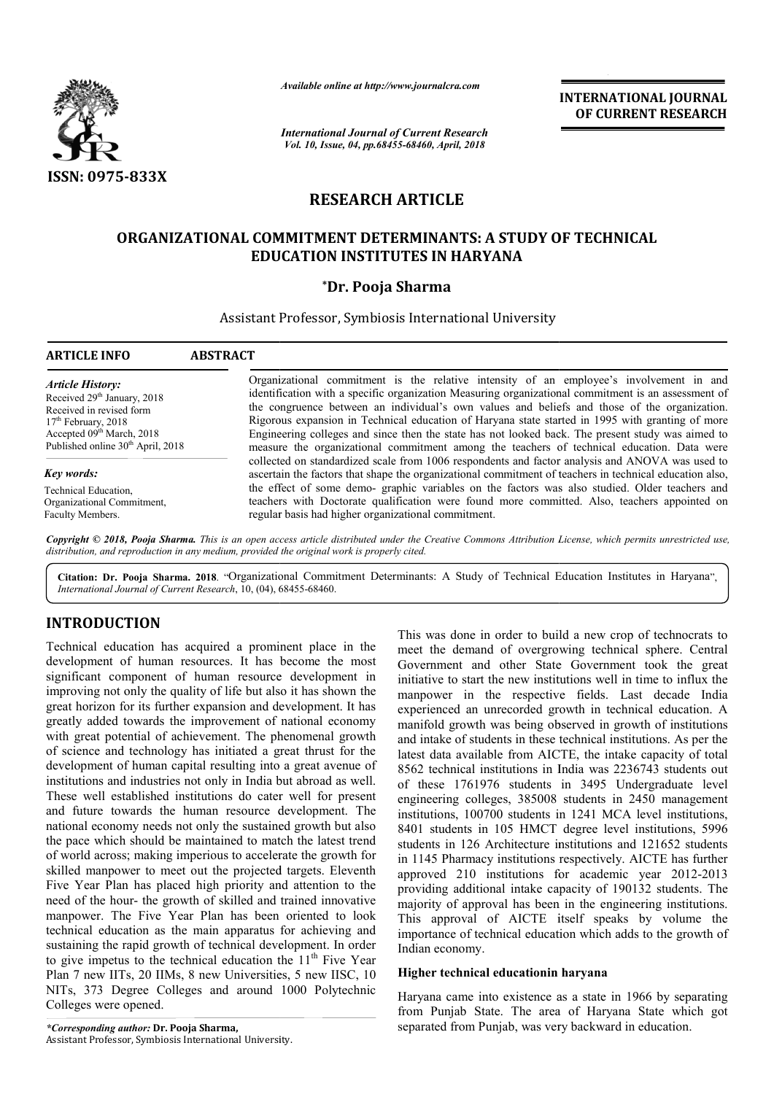

*Available online at http://www.journalcra.com*

*International Journal of Current Research Vol. 10, Issue, 04, pp.68455-68460, April, 2018*

**INTERNATIONAL JOURNAL OF CURRENT RESEARCH**

# **RESEARCH ARTICLE**

## **ORGANIZATIONAL COMMITMENT DETERMINANTS: A STUDY OF TECHNICAL OF TECHNICAL EDUCATION INSTITUTES IN HARYANA**

## **\*Dr. Pooja Sharma**

## Assistant Professor, Symbiosis International University

| <b>ARTICLE INFO</b>                                                                                                                                     | <b>ABSTRACT</b>                                                                                                                                                                                                                                                                                                                                                                                                                                                                                         |
|---------------------------------------------------------------------------------------------------------------------------------------------------------|---------------------------------------------------------------------------------------------------------------------------------------------------------------------------------------------------------------------------------------------------------------------------------------------------------------------------------------------------------------------------------------------------------------------------------------------------------------------------------------------------------|
| <b>Article History:</b><br>Received 29 <sup>th</sup> January, 2018<br>Received in revised form<br>$17th$ February, 2018<br>Accepted $09th March$ , 2018 | Organizational commitment is the relative intensity of an employee's involvement in and<br>identification with a specific organization Measuring organizational commitment is an assessment of<br>the congruence between an individual's own values and beliefs and those of the organization.<br>Rigorous expansion in Technical education of Haryana state started in 1995 with granting of more<br>Engineering colleges and since then the state has not looked back. The present study was aimed to |
| Published online 30 <sup>th</sup> April, 2018                                                                                                           | measure the organizational commitment among the teachers of technical education. Data were<br>collected on standardized scale from 1006 respondents and factor analysis and ANOVA was used to                                                                                                                                                                                                                                                                                                           |
| Key words:                                                                                                                                              | ascertain the factors that shape the organizational commitment of teachers in technical education also,                                                                                                                                                                                                                                                                                                                                                                                                 |
| Technical Education,<br>Organizational Commitment,<br>Faculty Members.                                                                                  | the effect of some demo-graphic variables on the factors was also studied. Older teachers and<br>teachers with Doctorate qualification were found more committed. Also, teachers appointed on<br>regular basis had higher organizational commitment.                                                                                                                                                                                                                                                    |

Copyright © 2018, Pooja Sharma. This is an open access article distributed under the Creative Commons Attribution License, which permits unrestricted use, *distribution, and reproduction in any medium, provided the original work is properly cited.*

Citation: Dr. Pooja Sharma. 2018. "Organizational Commitment Determinants: A Study of Technical Education Institutes in Haryana", **Citation: Dr. Pooja Sharma. 2018**. "Organizational Comm<br>International Journal of Current Research, 10, (04), 68455-68460.

# **INTRODUCTION**

Technical education has acquired a prominent place in the development of human resources. It has become the most significant component of human resource development in improving not only the quality of life but also it has shown the great horizon for its further expansion and development. It has greatly added towards the improvement of national economy with great potential of achievement. The phenomenal growth of science and technology has initiated a great thrust for the development of human capital resulting into a great avenue of institutions and industries not only in India but abroad as well. These well established institutions do cater well for present and future towards the human resource developme development. The national economy needs not only the sustained growth but also the pace which should be maintained to match the latest trend of world across; making imperious to accelerate the growth for skilled manpower to meet out the projected targets. Eleventh Five Year Plan has placed high priority and attention to the need of the hour- the growth of skilled and trained innovative manpower. The Five Year Plan has been oriented to look technical education as the main apparatus for achieving and sustaining the rapid growth of technical development. In order sustaining the rapid growth of technical development. In order to give impetus to the technical education the  $11<sup>th</sup>$  Five Year Plan 7 new IITs, 20 IIMs, 8 new Universities, 5 new IISC, 10 NITs, 373 Degree Colleges and around 1000 Polytechnic Colleges were opened.

*\*Corresponding author:* **Dr. Pooja Sharma,** Assistant Professor, Symbiosis International University University.

This was done in order to build a new crop of technocrats to meet the demand of overgrowing technical sphere. Central Government and other State Government took the great initiative to start the new institutions well in time to influx the manpower in the respective fields. Last decade India experienced an unrecorded growth in technical education. A manifold growth was being observed in growth of institutions and intake of students in these technical institutions. As per the latest data available from AICTE, the intake capacity of total 8562 technical institutions in India was 2236743 students out of these 1761976 students in 3495 Undergraduate level engineering colleges, 385008 students in 2450 management institutions, 100700 students in 1241 MCA level institutions, 8401 students in 105 HMCT degree level institutions, 5996 students in 126 Architecture institutions and 121652 students in 1145 Pharmacy institutions respectively. AICTE has further approved 210 institutions for academic year 2012-2013 providing additional intake capacity of 190132 students. The majority of approval has been in the engineering institutions. providing additional intake capacity of 190132 students. The majority of approval has been in the engineering institutions.<br>This approval of AICTE itself speaks by volume the importance of technical education which adds to the growth of Indian economy. This was done in order to build a new crop of technocrats to meet the demand of overgrowing technical sphere. Central Government and other State Government took the great experienced an unrecorded growth in technical education. A<br>manifold growth was being observed in growth of institutions<br>and intake of students in these technical institutions. As per the<br>latest data available from AICTE, t **INTERNATIONAL JOURNAL**<br> **OF CURRENT RESEARCH**<br> **OF CURRENT RESEARCH**<br> **OF CURRENT RESEARCH**<br> **IV** of an employee's involvement in and<br>
type of an employee involvement in an any behavior of the organization<br>
and beliefs an

## **Higher technical educationin haryana Higher technical**

Haryana came into existence as a state in 1966 by separating from Punjab State. The area of Haryana State which got separated from Punjab, was very backward in education.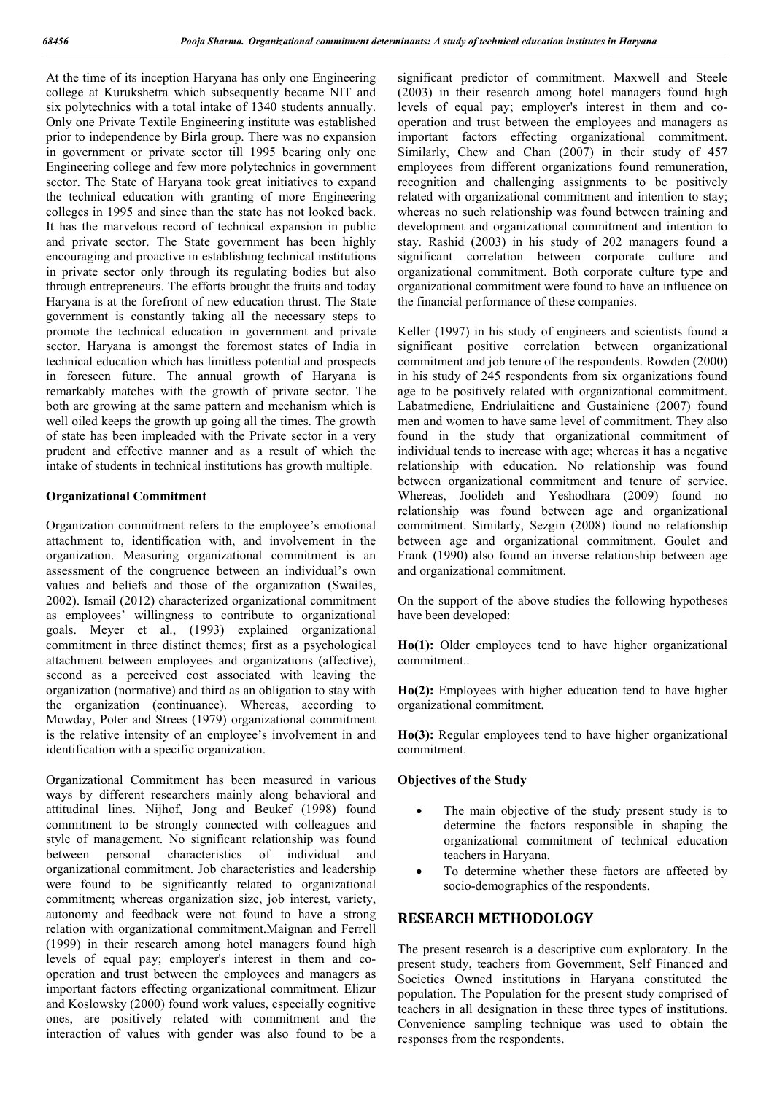At the time of its inception Haryana has only one Engineering college at Kurukshetra which subsequently became NIT and six polytechnics with a total intake of 1340 students annually. Only one Private Textile Engineering institute was established prior to independence by Birla group. There was no expansion in government or private sector till 1995 bearing only one Engineering college and few more polytechnics in government sector. The State of Haryana took great initiatives to expand the technical education with granting of more Engineering colleges in 1995 and since than the state has not looked back. It has the marvelous record of technical expansion in public and private sector. The State government has been highly encouraging and proactive in establishing technical institutions in private sector only through its regulating bodies but also through entrepreneurs. The efforts brought the fruits and today Haryana is at the forefront of new education thrust. The State government is constantly taking all the necessary steps to promote the technical education in government and private sector. Haryana is amongst the foremost states of India in technical education which has limitless potential and prospects in foreseen future. The annual growth of Haryana is remarkably matches with the growth of private sector. The both are growing at the same pattern and mechanism which is well oiled keeps the growth up going all the times. The growth of state has been impleaded with the Private sector in a very prudent and effective manner and as a result of which the intake of students in technical institutions has growth multiple.

#### **Organizational Commitment**

Organization commitment refers to the employee's emotional attachment to, identification with, and involvement in the organization. Measuring organizational commitment is an assessment of the congruence between an individual's own values and beliefs and those of the organization (Swailes, 2002). Ismail (2012) characterized organizational commitment as employees' willingness to contribute to organizational goals. Meyer et al., (1993) explained organizational commitment in three distinct themes; first as a psychological attachment between employees and organizations (affective), second as a perceived cost associated with leaving the organization (normative) and third as an obligation to stay with the organization (continuance). Whereas, according to Mowday, Poter and Strees (1979) organizational commitment is the relative intensity of an employee's involvement in and identification with a specific organization.

Organizational Commitment has been measured in various ways by different researchers mainly along behavioral and attitudinal lines. Nijhof, Jong and Beukef (1998) found commitment to be strongly connected with colleagues and style of management. No significant relationship was found between personal characteristics of individual and organizational commitment. Job characteristics and leadership were found to be significantly related to organizational commitment; whereas organization size, job interest, variety, autonomy and feedback were not found to have a strong relation with organizational commitment.Maignan and Ferrell (1999) in their research among hotel managers found high levels of equal pay; employer's interest in them and cooperation and trust between the employees and managers as important factors effecting organizational commitment. Elizur and Koslowsky (2000) found work values, especially cognitive ones, are positively related with commitment and the interaction of values with gender was also found to be a

significant predictor of commitment. Maxwell and Steele (2003) in their research among hotel managers found high levels of equal pay; employer's interest in them and cooperation and trust between the employees and managers as important factors effecting organizational commitment. Similarly, Chew and Chan (2007) in their study of 457 employees from different organizations found remuneration, recognition and challenging assignments to be positively related with organizational commitment and intention to stay; whereas no such relationship was found between training and development and organizational commitment and intention to stay. Rashid (2003) in his study of 202 managers found a significant correlation between corporate culture and organizational commitment. Both corporate culture type and organizational commitment were found to have an influence on the financial performance of these companies.

Keller (1997) in his study of engineers and scientists found a significant positive correlation between organizational commitment and job tenure of the respondents. Rowden (2000) in his study of 245 respondents from six organizations found age to be positively related with organizational commitment. Labatmediene, Endriulaitiene and Gustainiene (2007) found men and women to have same level of commitment. They also found in the study that organizational commitment of individual tends to increase with age; whereas it has a negative relationship with education. No relationship was found between organizational commitment and tenure of service. Whereas, Joolideh and Yeshodhara (2009) found no relationship was found between age and organizational commitment. Similarly, Sezgin (2008) found no relationship between age and organizational commitment. Goulet and Frank (1990) also found an inverse relationship between age and organizational commitment.

On the support of the above studies the following hypotheses have been developed:

**Ho(1):** Older employees tend to have higher organizational commitment..

**Ho(2):** Employees with higher education tend to have higher organizational commitment.

**Ho(3):** Regular employees tend to have higher organizational commitment.

### **Objectives of the Study**

- The main objective of the study present study is to determine the factors responsible in shaping the organizational commitment of technical education teachers in Haryana.
- To determine whether these factors are affected by socio-demographics of the respondents.

## **RESEARCH METHODOLOGY**

The present research is a descriptive cum exploratory. In the present study, teachers from Government, Self Financed and Societies Owned institutions in Haryana constituted the population. The Population for the present study comprised of teachers in all designation in these three types of institutions. Convenience sampling technique was used to obtain the responses from the respondents.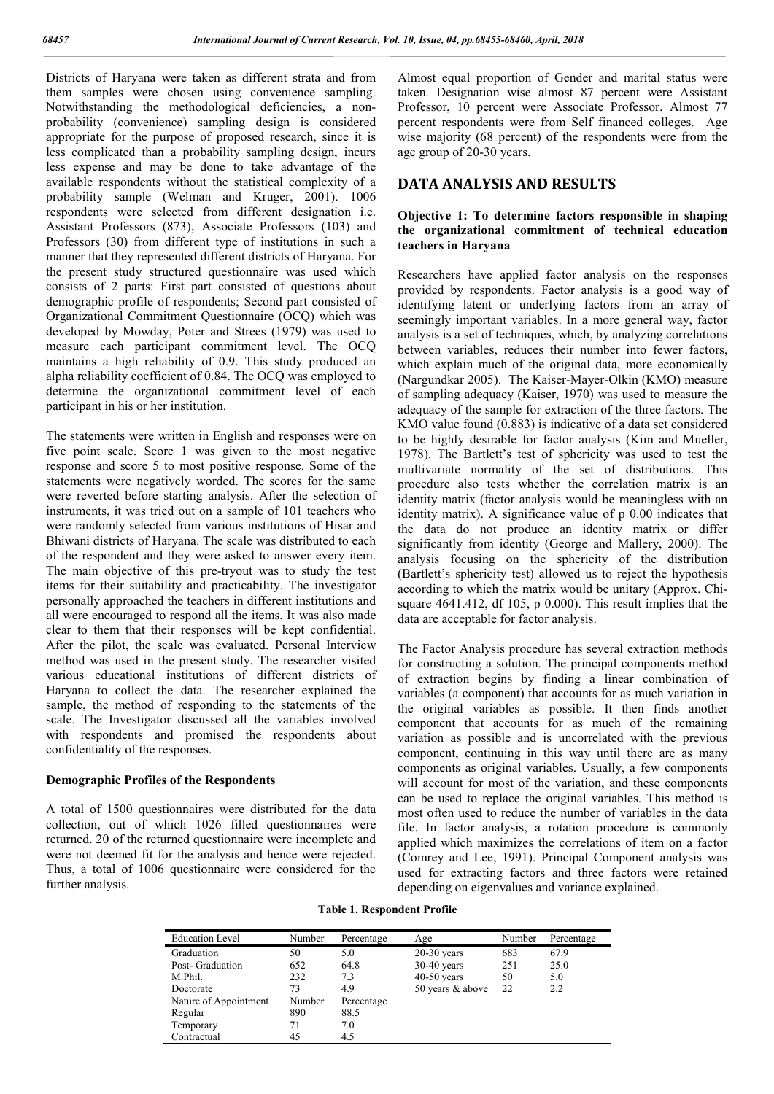Districts of Haryana were taken as different strata and from them samples were chosen using convenience sampling. Notwithstanding the methodological deficiencies, a nonprobability (convenience) sampling design is considered appropriate for the purpose of proposed research, since it is less complicated than a probability sampling design, incurs less expense and may be done to take advantage of the available respondents without the statistical complexity of a probability sample (Welman and Kruger, 2001). 1006 respondents were selected from different designation i.e. Assistant Professors (873), Associate Professors (103) and Professors (30) from different type of institutions in such a manner that they represented different districts of Haryana. For the present study structured questionnaire was used which consists of 2 parts: First part consisted of questions about demographic profile of respondents; Second part consisted of Organizational Commitment Questionnaire (OCQ) which was developed by Mowday, Poter and Strees (1979) was used to measure each participant commitment level. The OCQ maintains a high reliability of 0.9. This study produced an alpha reliability coefficient of 0.84. The OCQ was employed to determine the organizational commitment level of each participant in his or her institution.

The statements were written in English and responses were on five point scale. Score 1 was given to the most negative response and score 5 to most positive response. Some of the statements were negatively worded. The scores for the same were reverted before starting analysis. After the selection of instruments, it was tried out on a sample of 101 teachers who were randomly selected from various institutions of Hisar and Bhiwani districts of Haryana. The scale was distributed to each of the respondent and they were asked to answer every item. The main objective of this pre-tryout was to study the test items for their suitability and practicability. The investigator personally approached the teachers in different institutions and all were encouraged to respond all the items. It was also made clear to them that their responses will be kept confidential. After the pilot, the scale was evaluated. Personal Interview method was used in the present study. The researcher visited various educational institutions of different districts of Haryana to collect the data. The researcher explained the sample, the method of responding to the statements of the scale. The Investigator discussed all the variables involved with respondents and promised the respondents about confidentiality of the responses.

#### **Demographic Profiles of the Respondents**

A total of 1500 questionnaires were distributed for the data collection, out of which 1026 filled questionnaires were returned. 20 of the returned questionnaire were incomplete and were not deemed fit for the analysis and hence were rejected. Thus, a total of 1006 questionnaire were considered for the further analysis.

Almost equal proportion of Gender and marital status were taken. Designation wise almost 87 percent were Assistant Professor, 10 percent were Associate Professor. Almost 77 percent respondents were from Self financed colleges. Age wise majority (68 percent) of the respondents were from the age group of 20-30 years.

## **DATA ANALYSIS AND RESULTS**

### **Objective 1: To determine factors responsible in shaping the organizational commitment of technical education teachers in Haryana**

Researchers have applied factor analysis on the responses provided by respondents. Factor analysis is a good way of identifying latent or underlying factors from an array of seemingly important variables. In a more general way, factor analysis is a set of techniques, which, by analyzing correlations between variables, reduces their number into fewer factors, which explain much of the original data, more economically (Nargundkar 2005). The Kaiser-Mayer-Olkin (KMO) measure of sampling adequacy (Kaiser, 1970) was used to measure the adequacy of the sample for extraction of the three factors. The KMO value found (0.883) is indicative of a data set considered to be highly desirable for factor analysis (Kim and Mueller, 1978). The Bartlett's test of sphericity was used to test the multivariate normality of the set of distributions. This procedure also tests whether the correlation matrix is an identity matrix (factor analysis would be meaningless with an identity matrix). A significance value of p 0.00 indicates that the data do not produce an identity matrix or differ significantly from identity (George and Mallery, 2000). The analysis focusing on the sphericity of the distribution (Bartlett's sphericity test) allowed us to reject the hypothesis according to which the matrix would be unitary (Approx. Chisquare 4641.412, df 105, p 0.000). This result implies that the data are acceptable for factor analysis.

The Factor Analysis procedure has several extraction methods for constructing a solution. The principal components method of extraction begins by finding a linear combination of variables (a component) that accounts for as much variation in the original variables as possible. It then finds another component that accounts for as much of the remaining variation as possible and is uncorrelated with the previous component, continuing in this way until there are as many components as original variables. Usually, a few components will account for most of the variation, and these components can be used to replace the original variables. This method is most often used to reduce the number of variables in the data file. In factor analysis, a rotation procedure is commonly applied which maximizes the correlations of item on a factor (Comrey and Lee, 1991). Principal Component analysis was used for extracting factors and three factors were retained depending on eigenvalues and variance explained.

**Table 1. Respondent Profile**

| <b>Education Level</b> | Number | Percentage | Age              | Number | Percentage |
|------------------------|--------|------------|------------------|--------|------------|
| Graduation             | 50     | 5.0        | $20-30$ years    | 683    | 67.9       |
| Post- Graduation       | 652    | 64.8       | $30-40$ years    | 251    | 25.0       |
| M.Phil.                | 232    | 7.3        | $40-50$ years    | 50     | 5.0        |
| Doctorate              | 73     | 4.9        | 50 years & above | 22     | 2.2        |
| Nature of Appointment  | Number | Percentage |                  |        |            |
| Regular                | 890    | 88.5       |                  |        |            |
| Temporary              | 71     | 7.0        |                  |        |            |
| Contractual            | 45     | 4.5        |                  |        |            |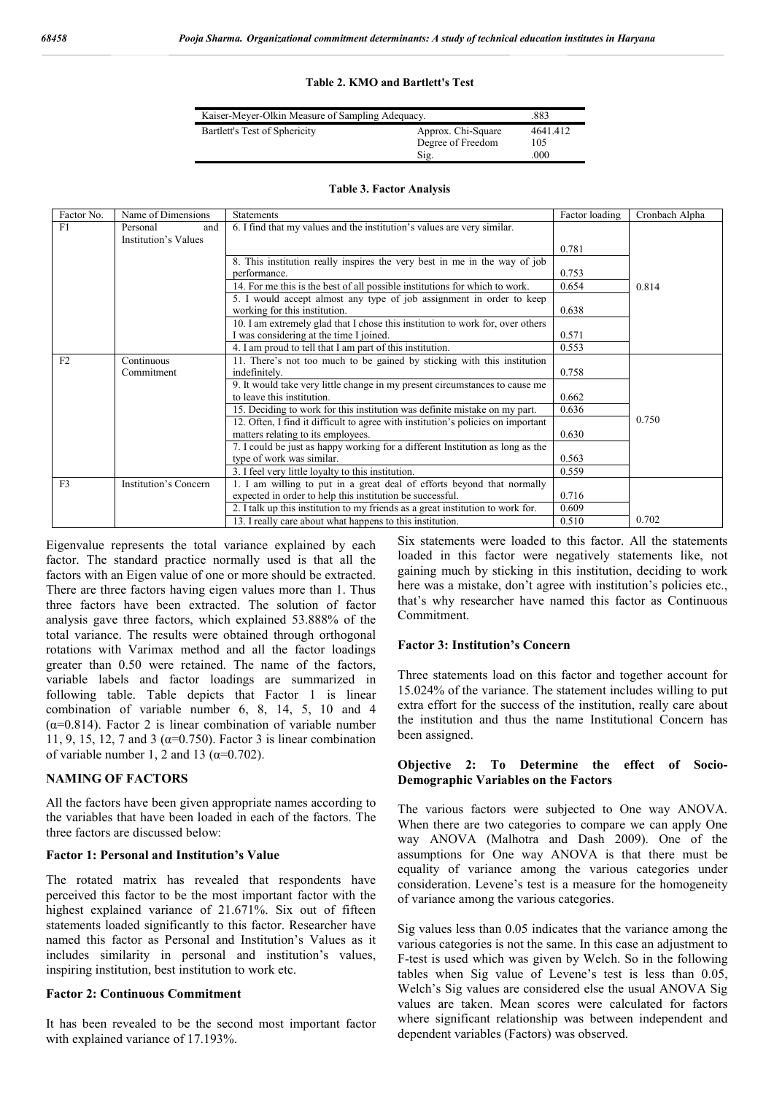#### **Table 2. KMO and Bartlett's Test**

| Kaiser-Meyer-Olkin Measure of Sampling Adequacy. | .883                                            |                         |
|--------------------------------------------------|-------------------------------------------------|-------------------------|
| Bartlett's Test of Sphericity                    | Approx. Chi-Square<br>Degree of Freedom<br>Sig. | 4641.412<br>105<br>.000 |

| Factor No.     | Name of Dimensions                                                          | <b>Statements</b>                                                                | Factor loading | Cronbach Alpha |
|----------------|-----------------------------------------------------------------------------|----------------------------------------------------------------------------------|----------------|----------------|
| F1             | Personal<br>and                                                             | 6. I find that my values and the institution's values are very similar.          |                |                |
|                | Institution's Values                                                        |                                                                                  |                |                |
|                |                                                                             |                                                                                  | 0.781          |                |
|                |                                                                             | 8. This institution really inspires the very best in me in the way of job        |                |                |
|                |                                                                             | performance.                                                                     | 0.753          |                |
|                | 14. For me this is the best of all possible institutions for which to work. |                                                                                  | 0.654          | 0.814          |
|                |                                                                             | 5. I would accept almost any type of job assignment in order to keep             |                |                |
|                |                                                                             | working for this institution.                                                    | 0.638          |                |
|                |                                                                             | 10. I am extremely glad that I chose this institution to work for, over others   |                |                |
|                |                                                                             | I was considering at the time I joined.                                          | 0.571          |                |
|                |                                                                             | 4. I am proud to tell that $\overline{I}$ am part of this institution.           | 0.553          |                |
| F <sub>2</sub> | Continuous                                                                  | 11. There's not too much to be gained by sticking with this institution          |                |                |
|                | Commitment                                                                  | indefinitely.                                                                    | 0.758          |                |
|                |                                                                             | 9. It would take very little change in my present circumstances to cause me      |                |                |
|                |                                                                             | to leave this institution.                                                       | 0.662          |                |
|                |                                                                             | 15. Deciding to work for this institution was definite mistake on my part.       | 0.636          |                |
|                |                                                                             | 12. Often, I find it difficult to agree with institution's policies on important |                | 0.750          |
|                |                                                                             | matters relating to its employees.                                               | 0.630          |                |
|                |                                                                             | 7. I could be just as happy working for a different Institution as long as the   |                |                |
|                |                                                                             | type of work was similar.                                                        | 0.563          |                |
|                |                                                                             | 3. I feel very little loyalty to this institution.                               | 0.559          |                |
| F <sub>3</sub> | Institution's Concern                                                       | am willing to put in a great deal of efforts beyond that normally                |                |                |
|                |                                                                             | expected in order to help this institution be successful.                        | 0.716          |                |
|                |                                                                             | 2. I talk up this institution to my friends as a great institution to work for.  | 0.609          |                |
|                |                                                                             | 13. I really care about what happens to this institution.                        | 0.510          | 0.702          |

#### **Table 3. Factor Analysis**

Eigenvalue represents the total variance explained by each factor. The standard practice normally used is that all the factors with an Eigen value of one or more should be extracted. There are three factors having eigen values more than 1. Thus three factors have been extracted. The solution of factor analysis gave three factors, which explained 53.888% of the total variance. The results were obtained through orthogonal rotations with Varimax method and all the factor loadings greater than 0.50 were retained. The name of the factors, variable labels and factor loadings are summarized in following table. Table depicts that Factor 1 is linear combination of variable number 6, 8, 14, 5, 10 and 4 ( $\alpha$ =0.814). Factor 2 is linear combination of variable number 11, 9, 15, 12, 7 and 3 ( $α=0.750$ ). Factor 3 is linear combination of variable number 1, 2 and 13 ( $\alpha$ =0.702).

#### **NAMING OF FACTORS**

All the factors have been given appropriate names according to the variables that have been loaded in each of the factors. The three factors are discussed below:

### **Factor 1: Personal and Institution's Value**

The rotated matrix has revealed that respondents have perceived this factor to be the most important factor with the highest explained variance of 21.671%. Six out of fifteen statements loaded significantly to this factor. Researcher have named this factor as Personal and Institution's Values as it includes similarity in personal and institution's values, inspiring institution, best institution to work etc.

#### **Factor 2: Continuous Commitment**

It has been revealed to be the second most important factor with explained variance of 17.193%.

Six statements were loaded to this factor. All the statements loaded in this factor were negatively statements like, not gaining much by sticking in this institution, deciding to work here was a mistake, don't agree with institution's policies etc., that's why researcher have named this factor as Continuous Commitment.

#### **Factor 3: Institution's Concern**

Three statements load on this factor and together account for 15.024% of the variance. The statement includes willing to put extra effort for the success of the institution, really care about the institution and thus the name Institutional Concern has been assigned.

### **Objective 2: To Determine the effect of Socio-Demographic Variables on the Factors**

The various factors were subjected to One way ANOVA. When there are two categories to compare we can apply One way ANOVA (Malhotra and Dash 2009). One of the assumptions for One way ANOVA is that there must be equality of variance among the various categories under consideration. Levene's test is a measure for the homogeneity of variance among the various categories.

Sig values less than 0.05 indicates that the variance among the various categories is not the same. In this case an adjustment to F-test is used which was given by Welch. So in the following tables when Sig value of Levene's test is less than 0.05, Welch's Sig values are considered else the usual ANOVA Sig values are taken. Mean scores were calculated for factors where significant relationship was between independent and dependent variables (Factors) was observed.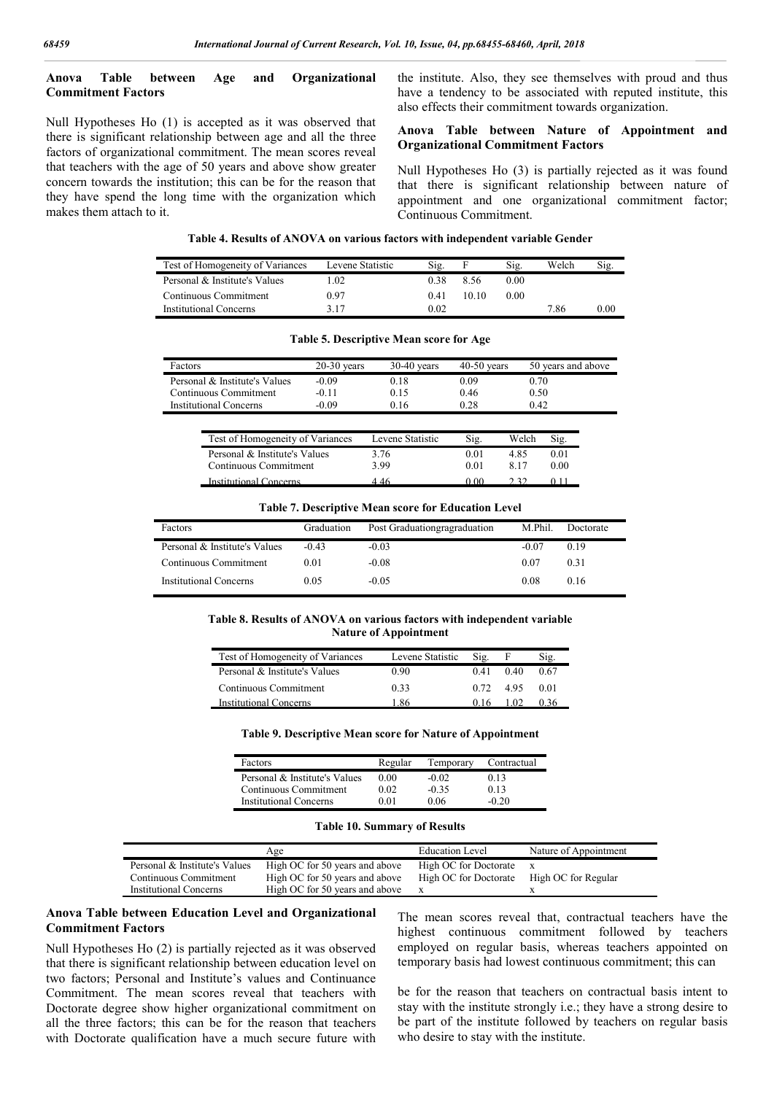## **Anova Table between Age and Organizational Commitment Factors**

Null Hypotheses Ho (1) is accepted as it was observed that there is significant relationship between age and all the three factors of organizational commitment. The mean scores reveal that teachers with the age of 50 years and above show greater concern towards the institution; this can be for the reason that they have spend the long time with the organization which makes them attach to it.

the institute. Also, they see themselves with proud and thus have a tendency to be associated with reputed institute, this also effects their commitment towards organization.

#### **Anova Table between Nature of Appointment and Organizational Commitment Factors**

Null Hypotheses Ho (3) is partially rejected as it was found that there is significant relationship between nature of appointment and one organizational commitment factor; Continuous Commitment.

| Table 4. Results of ANOVA on various factors with independent variable Gender |  |  |  |
|-------------------------------------------------------------------------------|--|--|--|
|-------------------------------------------------------------------------------|--|--|--|

| Test of Homogeneity of Variances | Levene Statistic | Sig. |       | Sig. | Welch | 512.     |
|----------------------------------|------------------|------|-------|------|-------|----------|
| Personal & Institute's Values    | .02              | 0 38 | 8.56  | 0.00 |       |          |
| Continuous Commitment            | 0.97             | 0.41 | 10 10 | 0.00 |       |          |
| <b>Institutional Concerns</b>    | 3 17             | 0.02 |       |      | 7.86  | $0.00\,$ |

| Factors                       | $20-30$ vears | $30-40$ vears | $40-50$ vears | 50 years and above |
|-------------------------------|---------------|---------------|---------------|--------------------|
| Personal & Institute's Values | $-0.09$       | 0.18          | 0.09          | 0.70               |
| Continuous Commitment         | -0.11         | 0.15          | 0.46          | 0.50               |
| <b>Institutional Concerns</b> | $-0.09$       | 0.16          | 0.28          | 0.42               |
|                               |               |               |               |                    |

#### **Table 5. Descriptive Mean score for Age**

| Test of Homogeneity of Variances | Levene Statistic | Sig. | Welch |      |
|----------------------------------|------------------|------|-------|------|
| Personal & Institute's Values    | 3 76             | 0 01 | 4 85  | 0 01 |
| Continuous Commitment            | 3.99             | 0.01 | 8.17  | 0.00 |
| Institutional Concerns           | 4 46             | ) በበ |       |      |

**Table 7. Descriptive Mean score for Education Level**

| Factors                       | Graduation | Post Graduationgragraduation | M.Phil. | Doctorate |
|-------------------------------|------------|------------------------------|---------|-----------|
| Personal & Institute's Values | $-0.43$    | $-0.03$                      | -0.07   | 0.19      |
| Continuous Commitment         | 0.01       | $-0.08$                      | 0.07    | 0.31      |
| <b>Institutional Concerns</b> | 0.05       | $-0.05$                      | 0.08    | 0.16      |

#### **Table 8. Results of ANOVA on various factors with independent variable Nature of Appointment**

| Test of Homogeneity of Variances | Levene Statistic | Sig. |      | Sig. |
|----------------------------------|------------------|------|------|------|
| Personal & Institute's Values    | 0.90             | 0.41 | 0.40 | 0.67 |
| Continuous Commitment            | 0.33             | 0.72 | 495  | 0.01 |
| Institutional Concerns           | -86              |      |      |      |

**Table 9. Descriptive Mean score for Nature of Appointment**

| Factors                       | Regular | Temporary | Contractual |
|-------------------------------|---------|-----------|-------------|
| Personal & Institute's Values | 0.00    | $-0.02$   | 0.13        |
| Continuous Commitment         | 0.02    | $-0.35$   | 0.13        |
| <b>Institutional Concerns</b> | 0.01    | 0.06      | $-0.20$     |

|  |  | <b>Table 10. Summary of Results</b> |  |  |  |
|--|--|-------------------------------------|--|--|--|
|--|--|-------------------------------------|--|--|--|

|                               | Age                            | <b>Education Level</b> | Nature of Appointment |
|-------------------------------|--------------------------------|------------------------|-----------------------|
| Personal & Institute's Values | High OC for 50 years and above | High OC for Doctorate  |                       |
| Continuous Commitment         | High OC for 50 years and above | High OC for Doctorate  | High OC for Regular   |
| <b>Institutional Concerns</b> | High OC for 50 years and above | X                      |                       |

#### **Anova Table between Education Level and Organizational Commitment Factors**

Null Hypotheses Ho (2) is partially rejected as it was observed that there is significant relationship between education level on two factors; Personal and Institute's values and Continuance Commitment. The mean scores reveal that teachers with Doctorate degree show higher organizational commitment on all the three factors; this can be for the reason that teachers with Doctorate qualification have a much secure future with

The mean scores reveal that, contractual teachers have the highest continuous commitment followed by teachers employed on regular basis, whereas teachers appointed on temporary basis had lowest continuous commitment; this can

be for the reason that teachers on contractual basis intent to stay with the institute strongly i.e.; they have a strong desire to be part of the institute followed by teachers on regular basis who desire to stay with the institute.